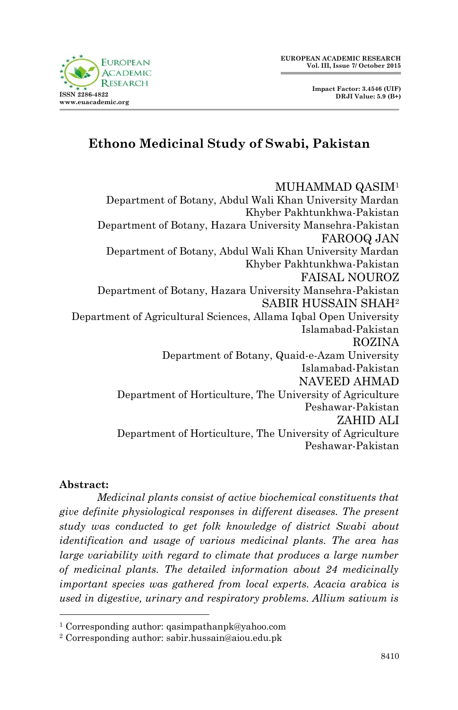

 **Impact Factor: 3.4546 (UIF) DRJI Value: 5.9 (B+)**

# **Ethono Medicinal Study of Swabi, Pakistan**

# MUHAMMAD QASIM<sup>1</sup>

Department of Botany, Abdul Wali Khan University Mardan Khyber Pakhtunkhwa-Pakistan Department of Botany, Hazara University Mansehra-Pakistan FAROOQ JAN Department of Botany, Abdul Wali Khan University Mardan Khyber Pakhtunkhwa-Pakistan FAISAL NOUROZ Department of Botany, Hazara University Mansehra-Pakistan SABIR HUSSAIN SHAH<sup>2</sup> Department of Agricultural Sciences, Allama Iqbal Open University Islamabad-Pakistan ROZINA Department of Botany, Quaid-e-Azam University Islamabad-Pakistan NAVEED AHMAD Department of Horticulture, The University of Agriculture Peshawar-Pakistan ZAHID ALI Department of Horticulture, The University of Agriculture Peshawar-Pakistan

### **Abstract:**

1

*Medicinal plants consist of active biochemical constituents that give definite physiological responses in different diseases. The present study was conducted to get folk knowledge of district Swabi about identification and usage of various medicinal plants. The area has large variability with regard to climate that produces a large number of medicinal plants. The detailed information about 24 medicinally important species was gathered from local experts. Acacia arabica is used in digestive, urinary and respiratory problems. Allium sativum is* 

<sup>1</sup> Corresponding author: qasimpathanpk@yahoo.com

<sup>2</sup> Corresponding author: sabir.hussain@aiou.edu.pk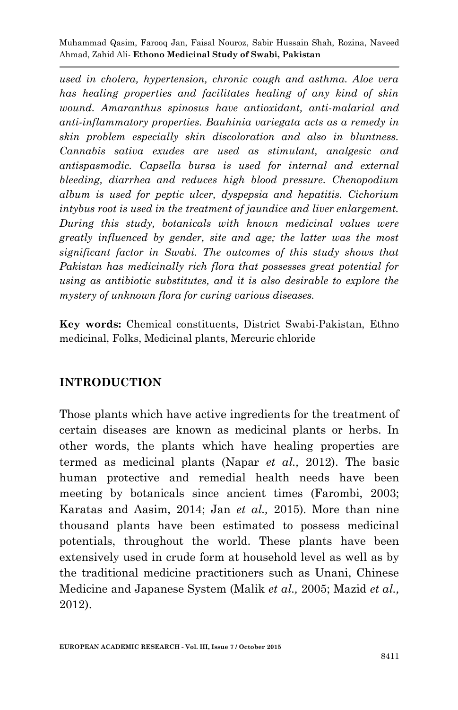*used in cholera, hypertension, chronic cough and asthma. Aloe vera has healing properties and facilitates healing of any kind of skin wound. Amaranthus spinosus have antioxidant, anti-malarial and anti-inflammatory properties. Bauhinia variegata acts as a remedy in skin problem especially skin discoloration and also in bluntness. Cannabis sativa exudes are used as stimulant, analgesic and antispasmodic. Capsella bursa is used for internal and external bleeding, diarrhea and reduces high blood pressure. Chenopodium album is used for peptic ulcer, dyspepsia and hepatitis. Cichorium intybus root is used in the treatment of jaundice and liver enlargement. During this study, botanicals with known medicinal values were greatly influenced by gender, site and age; the latter was the most significant factor in Swabi. The outcomes of this study shows that Pakistan has medicinally rich flora that possesses great potential for using as antibiotic substitutes, and it is also desirable to explore the mystery of unknown flora for curing various diseases.*

**Key words:** Chemical constituents, District Swabi-Pakistan, Ethno medicinal, Folks, Medicinal plants, Mercuric chloride

## **INTRODUCTION**

Those plants which have active ingredients for the treatment of certain diseases are known as medicinal plants or herbs. In other words, the plants which have healing properties are termed as medicinal plants (Napar *et al.,* 2012). The basic human protective and remedial health needs have been meeting by botanicals since ancient times (Farombi, 2003; Karatas and Aasim, 2014; Jan *et al.,* 2015). More than nine thousand plants have been estimated to possess medicinal potentials, throughout the world. These plants have been extensively used in crude form at household level as well as by the traditional medicine practitioners such as Unani, Chinese Medicine and Japanese System (Malik *et al.,* 2005; Mazid *et al.,* 2012).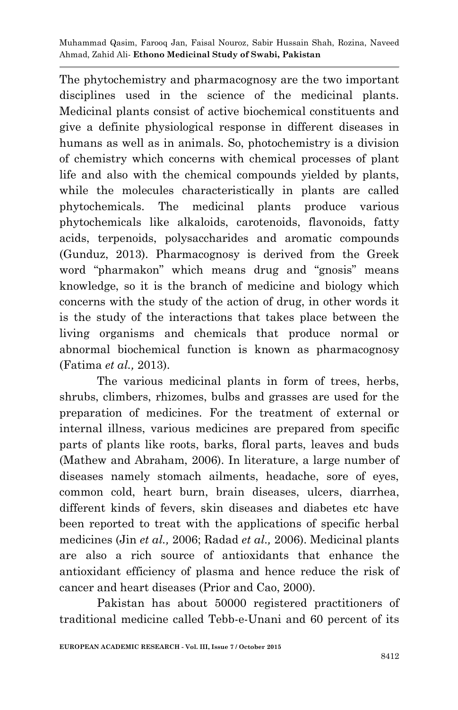The phytochemistry and pharmacognosy are the two important disciplines used in the science of the medicinal plants. Medicinal plants consist of active biochemical constituents and give a definite physiological response in different diseases in humans as well as in animals. So, photochemistry is a division of chemistry which concerns with chemical processes of plant life and also with the chemical compounds yielded by plants, while the molecules characteristically in plants are called phytochemicals. The medicinal plants produce various phytochemicals like alkaloids, carotenoids, flavonoids, fatty acids, terpenoids, polysaccharides and aromatic compounds (Gunduz, 2013). Pharmacognosy is derived from the Greek word "pharmakon" which means drug and "gnosis" means knowledge, so it is the branch of medicine and biology which concerns with the study of the action of drug, in other words it is the study of the interactions that takes place between the living organisms and chemicals that produce normal or abnormal biochemical function is known as pharmacognosy (Fatima *et al.,* 2013).

The various medicinal plants in form of trees, herbs, shrubs, climbers, rhizomes, bulbs and grasses are used for the preparation of medicines. For the treatment of external or internal illness, various medicines are prepared from specific parts of plants like roots, barks, floral parts, leaves and buds (Mathew and Abraham, 2006). In literature, a large number of diseases namely stomach ailments, headache, sore of eyes, common cold, heart burn, brain diseases, ulcers, diarrhea, different kinds of fevers, skin diseases and diabetes etc have been reported to treat with the applications of specific herbal medicines (Jin *et al.,* 2006; Radad *et al.,* 2006). Medicinal plants are also a rich source of antioxidants that enhance the antioxidant efficiency of plasma and hence reduce the risk of cancer and heart diseases (Prior and Cao, 2000).

Pakistan has about 50000 registered practitioners of traditional medicine called Tebb-e-Unani and 60 percent of its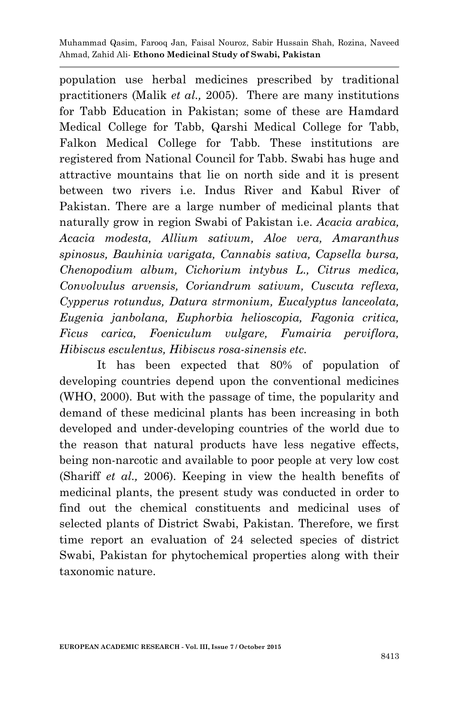population use herbal medicines prescribed by traditional practitioners (Malik *et al.,* 2005). There are many institutions for Tabb Education in Pakistan; some of these are Hamdard Medical College for Tabb, Qarshi Medical College for Tabb, Falkon Medical College for Tabb. These institutions are registered from National Council for Tabb. Swabi has huge and attractive mountains that lie on north side and it is present between two rivers i.e. Indus River and Kabul River of Pakistan. There are a large number of medicinal plants that naturally grow in region Swabi of Pakistan i.e. *Acacia arabica, Acacia modesta, Allium sativum, Aloe vera, Amaranthus spinosus, Bauhinia varigata, Cannabis sativa, Capsella bursa, Chenopodium album, Cichorium intybus L., Citrus medica, Convolvulus arvensis, Coriandrum sativum, Cuscuta reflexa, Cypperus rotundus, Datura strmonium, Eucalyptus lanceolata, Eugenia janbolana, Euphorbia helioscopia, Fagonia critica, Ficus carica, Foeniculum vulgare, Fumairia perviflora, Hibiscus esculentus, Hibiscus rosa-sinensis etc.* 

It has been expected that 80% of population of developing countries depend upon the conventional medicines (WHO, 2000). But with the passage of time, the popularity and demand of these medicinal plants has been increasing in both developed and under-developing countries of the world due to the reason that natural products have less negative effects, being non-narcotic and available to poor people at very low cost (Shariff *et al.,* 2006). Keeping in view the health benefits of medicinal plants, the present study was conducted in order to find out the chemical constituents and medicinal uses of selected plants of District Swabi, Pakistan. Therefore, we first time report an evaluation of 24 selected species of district Swabi, Pakistan for phytochemical properties along with their taxonomic nature.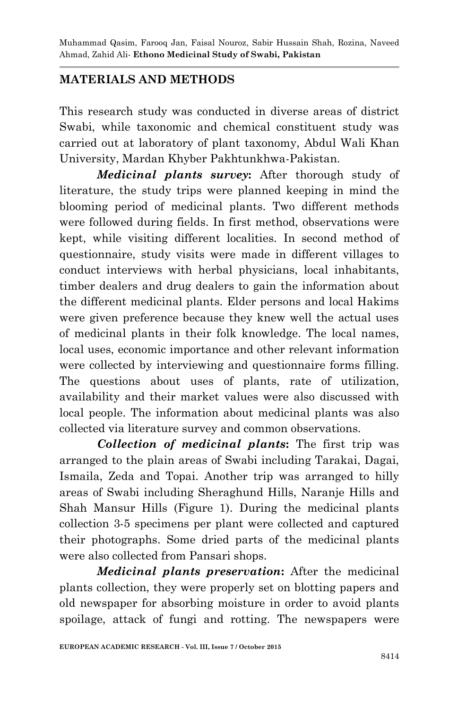## **MATERIALS AND METHODS**

This research study was conducted in diverse areas of district Swabi, while taxonomic and chemical constituent study was carried out at laboratory of plant taxonomy, Abdul Wali Khan University, Mardan Khyber Pakhtunkhwa-Pakistan.

*Medicinal plants survey***:** After thorough study of literature, the study trips were planned keeping in mind the blooming period of medicinal plants. Two different methods were followed during fields. In first method, observations were kept, while visiting different localities. In second method of questionnaire, study visits were made in different villages to conduct interviews with herbal physicians, local inhabitants, timber dealers and drug dealers to gain the information about the different medicinal plants. Elder persons and local Hakims were given preference because they knew well the actual uses of medicinal plants in their folk knowledge. The local names, local uses, economic importance and other relevant information were collected by interviewing and questionnaire forms filling. The questions about uses of plants, rate of utilization, availability and their market values were also discussed with local people. The information about medicinal plants was also collected via literature survey and common observations.

*Collection of medicinal plants***:** The first trip was arranged to the plain areas of Swabi including Tarakai, Dagai, Ismaila, Zeda and Topai. Another trip was arranged to hilly areas of Swabi including Sheraghund Hills, Naranje Hills and Shah Mansur Hills (Figure 1). During the medicinal plants collection 3-5 specimens per plant were collected and captured their photographs. Some dried parts of the medicinal plants were also collected from Pansari shops.

*Medicinal plants preservation***:** After the medicinal plants collection, they were properly set on blotting papers and old newspaper for absorbing moisture in order to avoid plants spoilage, attack of fungi and rotting. The newspapers were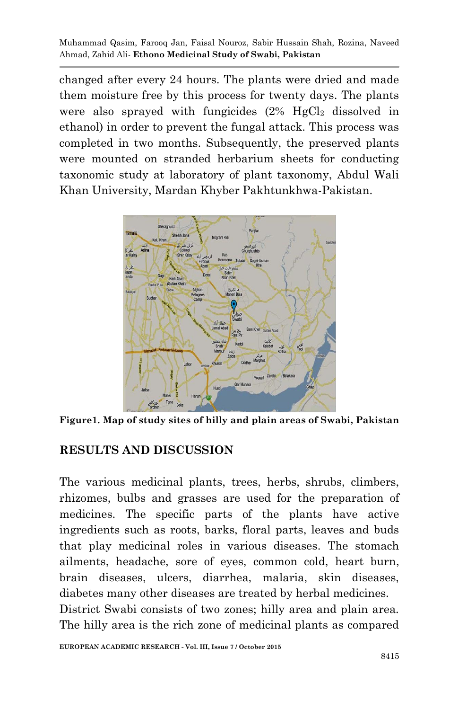changed after every 24 hours. The plants were dried and made them moisture free by this process for twenty days. The plants were also sprayed with fungicides  $(2\% \text{ HgCl}_2 \text{ dissolved in})$ ethanol) in order to prevent the fungal attack. This process was completed in two months. Subsequently, the preserved plants were mounted on stranded herbarium sheets for conducting taxonomic study at laboratory of plant taxonomy, Abdul Wali Khan University, Mardan Khyber Pakhtunkhwa-Pakistan.



**Figure1. Map of study sites of hilly and plain areas of Swabi, Pakistan**

## **RESULTS AND DISCUSSION**

The various medicinal plants, trees, herbs, shrubs, climbers, rhizomes, bulbs and grasses are used for the preparation of medicines. The specific parts of the plants have active ingredients such as roots, barks, floral parts, leaves and buds that play medicinal roles in various diseases. The stomach ailments, headache, sore of eyes, common cold, heart burn, brain diseases, ulcers, diarrhea, malaria, skin diseases, diabetes many other diseases are treated by herbal medicines. District Swabi consists of two zones; hilly area and plain area. The hilly area is the rich zone of medicinal plants as compared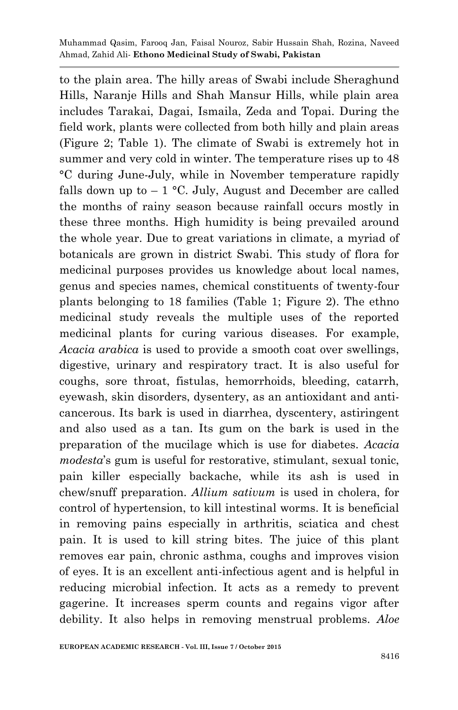to the plain area. The hilly areas of Swabi include Sheraghund Hills, Naranje Hills and Shah Mansur Hills, while plain area includes Tarakai, Dagai, Ismaila, Zeda and Topai. During the field work, plants were collected from both hilly and plain areas (Figure 2; Table 1). The climate of Swabi is extremely hot in summer and very cold in winter. The temperature rises up to 48 °C during June-July, while in November temperature rapidly falls down up to  $-1$  °C. July, August and December are called the months of rainy season because rainfall occurs mostly in these three months. High humidity is being prevailed around the whole year. Due to great variations in climate, a myriad of botanicals are grown in district Swabi. This study of flora for medicinal purposes provides us knowledge about local names, genus and species names, chemical constituents of twenty-four plants belonging to 18 families (Table 1; Figure 2). The ethno medicinal study reveals the multiple uses of the reported medicinal plants for curing various diseases. For example, *Acacia arabica* is used to provide a smooth coat over swellings, digestive, urinary and respiratory tract. It is also useful for coughs, sore throat, fistulas, hemorrhoids, bleeding, catarrh, eyewash, skin disorders, dysentery, as an antioxidant and anticancerous. Its bark is used in diarrhea, dyscentery, astiringent and also used as a tan. Its gum on the bark is used in the preparation of the mucilage which is use for diabetes. *Acacia modesta*'s gum is useful for restorative, stimulant, sexual tonic, pain killer especially backache, while its ash is used in chew/snuff preparation. *Allium sativum* is used in cholera, for control of hypertension, to kill intestinal worms. It is beneficial in removing pains especially in arthritis, sciatica and chest pain. It is used to kill string bites. The juice of this plant removes ear pain, chronic asthma, coughs and improves vision of eyes. It is an excellent anti-infectious agent and is helpful in reducing microbial infection. It acts as a remedy to prevent gagerine. It increases sperm counts and regains vigor after debility. It also helps in removing menstrual problems. *Aloe*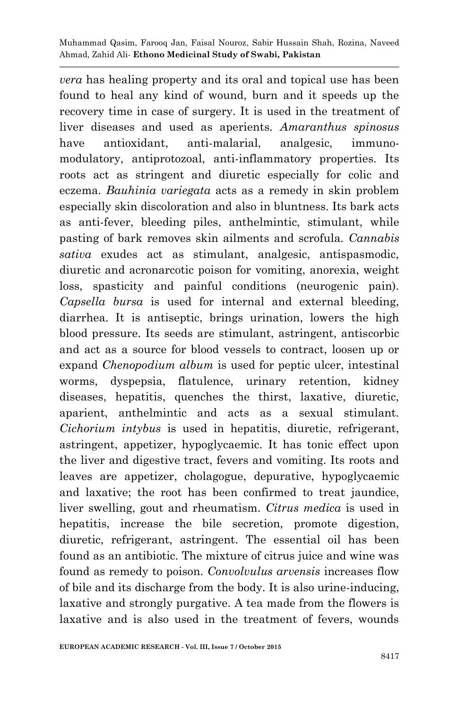*vera* has healing property and its oral and topical use has been found to heal any kind of wound, burn and it speeds up the recovery time in case of surgery. It is used in the treatment of liver diseases and used as aperients. *Amaranthus spinosus* have antioxidant, anti-malarial, analgesic, immunomodulatory, antiprotozoal, anti-inflammatory properties. Its roots act as stringent and diuretic especially for colic and eczema. *Bauhinia variegata* acts as a remedy in skin problem especially skin discoloration and also in bluntness. Its bark acts as anti-fever, bleeding piles, anthelmintic, stimulant, while pasting of bark removes skin ailments and scrofula. *Cannabis sativa* exudes act as stimulant, analgesic, antispasmodic, diuretic and acronarcotic poison for vomiting, anorexia, weight loss, spasticity and painful conditions (neurogenic pain). *Capsella bursa* is used for internal and external bleeding, diarrhea. It is antiseptic, brings urination, lowers the high blood pressure. Its seeds are stimulant, astringent, antiscorbic and act as a source for blood vessels to contract, loosen up or expand *Chenopodium album* is used for peptic ulcer, intestinal worms, dyspepsia, flatulence, urinary retention, kidney diseases, hepatitis, quenches the thirst, laxative, diuretic, aparient, anthelmintic and acts as a sexual stimulant. *Cichorium intybus* is used in hepatitis, diuretic, refrigerant, astringent, appetizer, hypoglycaemic. It has tonic effect upon the liver and digestive tract, fevers and vomiting. Its roots and leaves are appetizer, cholagogue, depurative, hypoglycaemic and laxative; the root has been confirmed to treat jaundice, liver swelling, gout and rheumatism. *Citrus medica* is used in hepatitis, increase the bile secretion, promote digestion, diuretic, refrigerant, astringent. The essential oil has been found as an antibiotic. The mixture of citrus juice and wine was found as remedy to poison. *Convolvulus arvensis* increases flow of bile and its discharge from the body. It is also urine-inducing, laxative and strongly purgative. A tea made from the flowers is laxative and is also used in the treatment of fevers, wounds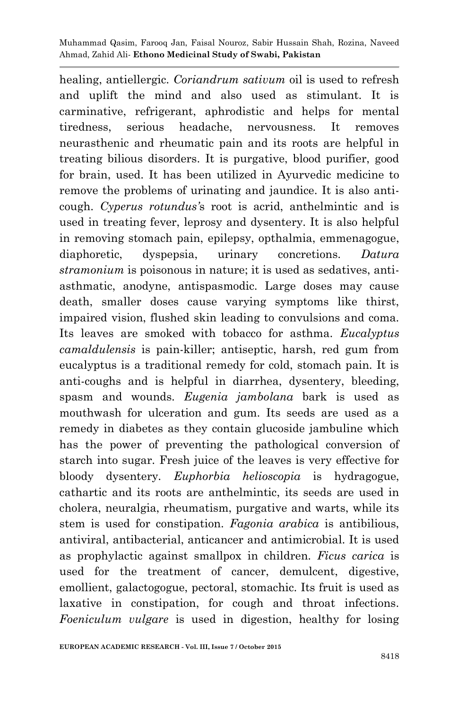healing, antiellergic. *Coriandrum sativum* oil is used to refresh and uplift the mind and also used as stimulant. It is carminative, refrigerant, aphrodistic and helps for mental tiredness, serious headache, nervousness. It removes neurasthenic and rheumatic pain and its roots are helpful in treating bilious disorders. It is purgative, blood purifier, good for brain, used. It has been utilized in Ayurvedic medicine to remove the problems of urinating and jaundice. It is also anticough. *Cyperus rotundus'*s root is acrid, anthelmintic and is used in treating fever, leprosy and dysentery. It is also helpful in removing stomach pain, epilepsy, opthalmia, emmenagogue, diaphoretic, dyspepsia, urinary concretions. *Datura stramonium* is poisonous in nature; it is used as sedatives, antiasthmatic, anodyne, antispasmodic. Large doses may cause death, smaller doses cause varying symptoms like thirst, impaired vision, flushed skin leading to convulsions and coma. Its leaves are smoked with tobacco for asthma. *Eucalyptus camaldulensis* is pain-killer; antiseptic, harsh, red gum from eucalyptus is a traditional remedy for cold, stomach pain. It is anti-coughs and is helpful in diarrhea, dysentery, bleeding, spasm and wounds. *Eugenia jambolana* bark is used as mouthwash for ulceration and gum. Its seeds are used as a remedy in diabetes as they contain glucoside jambuline which has the power of preventing the pathological conversion of starch into sugar. Fresh juice of the leaves is very effective for bloody dysentery. *Euphorbia helioscopia* is hydragogue, cathartic and its roots are anthelmintic, its seeds are used in cholera, neuralgia, rheumatism, purgative and warts, while its stem is used for constipation. *Fagonia arabica* is antibilious, antiviral, antibacterial, anticancer and antimicrobial. It is used as prophylactic against smallpox in children. *Ficus carica* is used for the treatment of cancer, demulcent, digestive, emollient, galactogogue, pectoral, stomachic. Its fruit is used as laxative in constipation, for cough and throat infections. *Foeniculum vulgare* is used in digestion, healthy for losing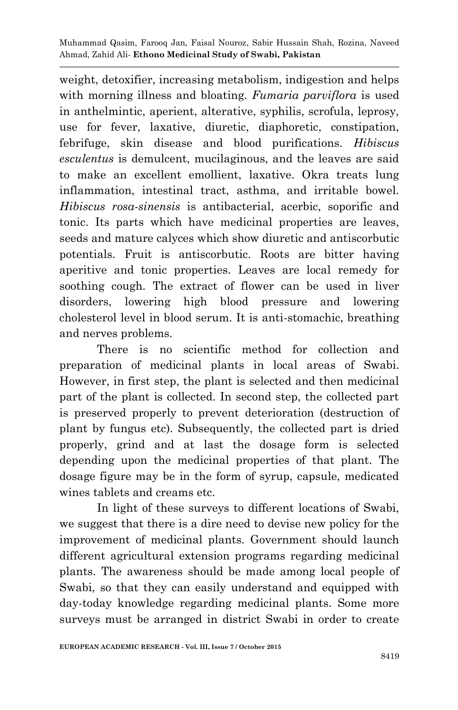weight, detoxifier, increasing metabolism, indigestion and helps with morning illness and bloating. *Fumaria parviflora* is used in anthelmintic, aperient, alterative, syphilis, scrofula, leprosy, use for fever, laxative, diuretic, diaphoretic, constipation, febrifuge, skin disease and blood purifications. *Hibiscus esculentus* is demulcent, mucilaginous, and the leaves are said to make an excellent emollient, laxative. Okra treats lung inflammation, intestinal tract, asthma, and irritable bowel. *Hibiscus rosa-sinensis* is antibacterial, acerbic, soporific and tonic. Its parts which have medicinal properties are leaves, seeds and mature calyces which show diuretic and antiscorbutic potentials. Fruit is antiscorbutic. Roots are bitter having aperitive and tonic properties. Leaves are local remedy for soothing cough. The extract of flower can be used in liver disorders, lowering high blood pressure and lowering cholesterol level in blood serum. It is anti-stomachic, breathing and nerves problems.

There is no scientific method for collection and preparation of medicinal plants in local areas of Swabi. However, in first step, the plant is selected and then medicinal part of the plant is collected. In second step, the collected part is preserved properly to prevent deterioration (destruction of plant by fungus etc). Subsequently, the collected part is dried properly, grind and at last the dosage form is selected depending upon the medicinal properties of that plant. The dosage figure may be in the form of syrup, capsule, medicated wines tablets and creams etc.

In light of these surveys to different locations of Swabi, we suggest that there is a dire need to devise new policy for the improvement of medicinal plants. Government should launch different agricultural extension programs regarding medicinal plants. The awareness should be made among local people of Swabi, so that they can easily understand and equipped with day-today knowledge regarding medicinal plants. Some more surveys must be arranged in district Swabi in order to create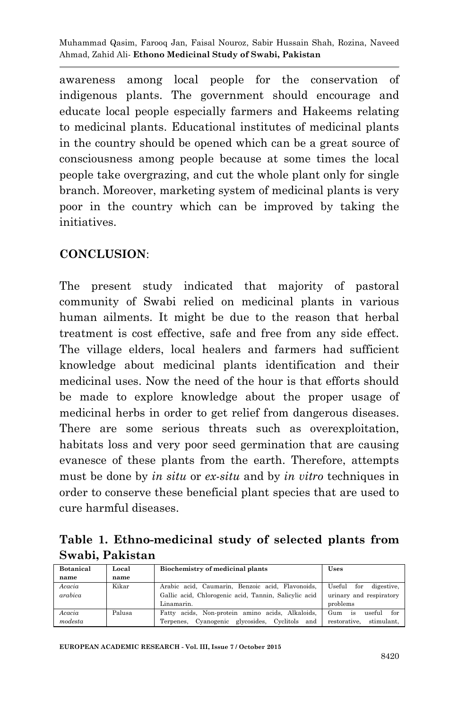awareness among local people for the conservation of indigenous plants. The government should encourage and educate local people especially farmers and Hakeems relating to medicinal plants. Educational institutes of medicinal plants in the country should be opened which can be a great source of consciousness among people because at some times the local people take overgrazing, and cut the whole plant only for single branch. Moreover, marketing system of medicinal plants is very poor in the country which can be improved by taking the initiatives.

## **CONCLUSION**:

The present study indicated that majority of pastoral community of Swabi relied on medicinal plants in various human ailments. It might be due to the reason that herbal treatment is cost effective, safe and free from any side effect. The village elders, local healers and farmers had sufficient knowledge about medicinal plants identification and their medicinal uses. Now the need of the hour is that efforts should be made to explore knowledge about the proper usage of medicinal herbs in order to get relief from dangerous diseases. There are some serious threats such as overexploitation, habitats loss and very poor seed germination that are causing evanesce of these plants from the earth. Therefore, attempts must be done by *in situ* or *ex-situ* and by *in vitro* techniques in order to conserve these beneficial plant species that are used to cure harmful diseases.

## **Table 1. Ethno-medicinal study of selected plants from Swabi, Pakistan**

| <b>Botanical</b>  | Local  | Biochemistry of medicinal plants                                                                                        | Uses                                                               |
|-------------------|--------|-------------------------------------------------------------------------------------------------------------------------|--------------------------------------------------------------------|
| name              | name   |                                                                                                                         |                                                                    |
| Acacia<br>arabica | Kikar  | Arabic acid, Caumarin, Benzoic acid, Flavonoids,<br>Gallic acid, Chlorogenic acid, Tannin, Salicylic acid<br>Linamarin. | Useful<br>for<br>digestive.<br>urinary and respiratory<br>problems |
|                   |        |                                                                                                                         |                                                                    |
| Acacia<br>modesta | Palusa | Fatty acids, Non-protein amino acids, Alkaloids,<br>Terpenes, Cyanogenic glycosides, Cyclitols and                      | for<br>Gum<br>useful<br>is<br>stimulant.<br>restorative.           |

**EUROPEAN ACADEMIC RESEARCH - Vol. III, Issue 7 / October 2015**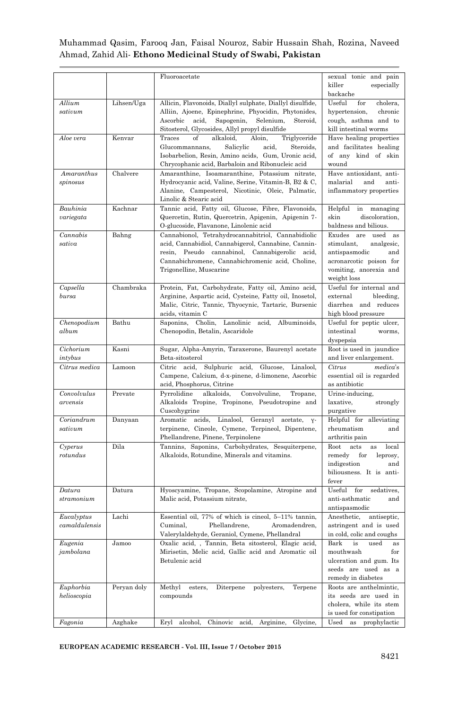|                             |             | Fluoroacetate                                                                                                                                                                                                                                 | sexual tonic and pain<br>killer<br>especially<br>backache                                                                                  |
|-----------------------------|-------------|-----------------------------------------------------------------------------------------------------------------------------------------------------------------------------------------------------------------------------------------------|--------------------------------------------------------------------------------------------------------------------------------------------|
| Allium<br>sativum           | Lihsen/Uga  | Allicin, Flavonoids, Diallyl sulphate, Diallyl disulfide,<br>Alliin, Ajoene, Epinephrine, Phyocidin, Phytonides,<br>Ascorbic<br>acid,<br>Sapogenin,<br>Selenium,<br>Steroid,<br>Sitosterol, Glycosides, Allyl propyl disulfide                | Useful<br>for<br>cholera,<br>hypertension,<br>chronic<br>cough, asthma and to<br>kill intestinal worms                                     |
| Aloe vera                   | Kenvar      | of<br>alkaloid.<br>Traces<br>Aloin,<br>Triglyceride<br>Glucommannans,<br>Salicylic<br>acid,<br>Steroids,<br>Isobarbelion, Resin, Amino acids, Gum, Uronic acid,<br>Chrycophanic acid, Barbaloin and Ribonucleic acid                          | Have healing properties<br>and facilitates healing<br>of any kind of skin<br>wound                                                         |
| Amaranthus<br>spinosus      | Chalvere    | Amaranthine, Isoamaranthine, Potassium nitrate,<br>Hydrocyanic acid, Valine, Serine, Vitamin-B, B2 & C,<br>Alanine, Campesterol, Nicotinic, Oleic, Palmatic,<br>Linolic & Stearic acid                                                        | Have antioxidant, anti-<br>malarial<br>and<br>anti-<br>inflammatory properties                                                             |
| Bauhinia<br>variegata       | Kachnar     | Tannic acid, Fatty oil, Glucose, Fibre, Flavonoids,<br>Quercetin, Rutin, Quercetrin, Apigenin, Apigenin 7-<br>O-glucoside, Flavanone, Linolenic acid                                                                                          | Helpful<br>in<br>managing<br>skin<br>discoloration,<br>baldness and bilious.                                                               |
| Cannabis<br>sativa          | Bahng       | Cannabionol, Tetrahydrocannabitriol, Cannabidiolic<br>acid, Cannabidiol, Cannabigerol, Cannabine, Cannin-<br>Pseudo cannabinol, Cannabigerolic acid,<br>resin,<br>Cannabichromene, Cannabichromenic acid, Choline,<br>Trigonelline, Muscarine | Exudes are used as<br>stimulant,<br>analgesic,<br>antispasmodic<br>and<br>acronarcotic poison for<br>vomiting, anorexia and<br>weight loss |
| Capsella<br>$_{bursa}$      | Chambraka   | Protein, Fat, Carbohydrate, Fatty oil, Amino acid,<br>Arginine, Aspartic acid, Cysteine, Fatty oil, Inosetol,<br>Malic, Citric, Tannic, Thyocynic, Tartaric, Bursenic<br>acids, vitamin C                                                     | Useful for internal and<br>external<br>bleeding,<br>diarrhea and reduces<br>high blood pressure                                            |
| Chenopodium<br>album        | Bathu       | Saponins, Cholin, Lanolinic<br>acid,<br>Albuminoids,<br>Chenopodin, Betalin, Ascaridole                                                                                                                                                       | Useful for peptic ulcer,<br>intestinal<br>worms,<br>dyspepsia                                                                              |
| Cichorium<br>intybus        | Kasni       | Sugar, Alpha-Amyrin, Taraxerone, Baurenyl acetate<br>Beta-sitosterol                                                                                                                                                                          | Root is used in jaundice<br>and liver enlargement.                                                                                         |
| Citrus medica               | Lamoon      | Citric acid, Sulphuric acid, Glucose, Linalool,<br>Campene, Calcium, d-x-pinene, d-limonene, Ascorbic<br>acid, Phosphorus, Citrine                                                                                                            | Citrus<br>medica's<br>essential oil is regarded<br>as antibiotic                                                                           |
| Convolvulus<br>arvensis     | Prevate     | Pyrrolidine<br>alkaloids,<br>Convolvuline,<br>Tropane,<br>Alkaloids Tropine, Tropinone, Pseudotropine and<br>Cuscohygrine                                                                                                                     | Urine-inducing,<br>laxative,<br>strongly<br>purgative                                                                                      |
| Coriandrum<br>sativum       | Danyaan     | Linalool,<br>Geranyl acetate,<br>Aromatic acids,<br>$Y -$<br>terpinene, Cineole, Cymene, Terpineol, Dipentene,<br>Phellandrene, Pinene, Terpinolene                                                                                           | Helpful for alleviating<br>rheumatism<br>and<br>arthritis pain                                                                             |
| Cyperus<br>rotundus         | Dila        | Tannins, Saponins, Carbohydrates, Sesquiterpene,<br>Alkaloids, Rotundine, Minerals and vitamins.                                                                                                                                              | acts<br>Root<br>$_{\rm as}$<br>local<br>remedy<br>for<br>leprosy,<br>indigestion<br>and<br>biliousness. It is anti-<br>fever               |
| Datura<br>stramonium        | Datura      | Hyoscyamine, Tropane, Scopolamine, Atropine and<br>Malic acid, Potassium nitrate,                                                                                                                                                             | Useful<br>for<br>sedatives.<br>anti-asthmatic<br>and<br>antispasmodic                                                                      |
| Eucalyptus<br>camaldulensis | Lachi       | Essential oil, 77% of which is cineol, 5-11% tannin,<br>Phellandrene,<br>Cuminal,<br>Aromadendren,<br>Valervlaldehyde, Geraniol, Cymene, Phellandral                                                                                          | Anesthetic,<br>antiseptic.<br>astringent and is used<br>in cold, colic and coughs                                                          |
| Eugenia<br>jambolana        | Jamoo       | Oxalic acid, , Tannin, Beta sitosterol, Elagic acid,<br>Mirisetin, Melic acid, Gallic acid and Aromatic oil<br>Betulenic acid                                                                                                                 | Bark<br>is<br>used<br>as<br>mouthwash<br>for<br>ulceration and gum. Its<br>seeds are used as a<br>remedy in diabetes                       |
| Euphorbia<br>helioscopia    | Peryan doly | Methyl<br>esters,<br>Diterpene<br>polyesters,<br>Terpene<br>compounds                                                                                                                                                                         | Roots are anthelmintic.<br>its seeds are used in<br>cholera, while its stem<br>is used for constipation                                    |
| Fagonia                     | Azghake     | Eryl<br>alcohol,<br>Chinovic acid, Arginine,<br>Glycine,                                                                                                                                                                                      | $_{\rm Used}$<br>as prophylactic                                                                                                           |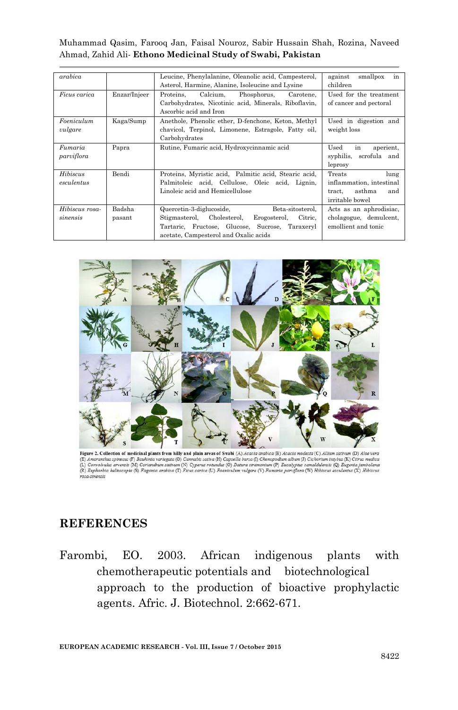| arabica        |              | Leucine, Phenylalanine, Oleanolic acid, Campesterol,  | against<br>smallpox<br>in |
|----------------|--------------|-------------------------------------------------------|---------------------------|
|                |              | Asterol, Harmine, Alanine, Isoleucine and Lysine      | children                  |
| Ficus carica   | Enzar/Injeer | Proteins, Calcium,<br>Phosphorus,<br>Carotene.        | Used for the treatment    |
|                |              | Carbohydrates, Nicotinic acid, Minerals, Riboflavin,  | of cancer and pectoral    |
|                |              | Ascorbic acid and Iron                                |                           |
| Foeniculum     | Kaga/Sump    | Anethole, Phenolic ether, D-fenchone, Keton, Methyl   | Used in digestion and     |
| vulgare        |              | chavicol, Terpinol, Limonene, Estragole, Fatty oil,   | weight loss               |
|                |              | Carbohydrates                                         |                           |
| Fumaria        | Papra        | Rutine, Fumaric acid, Hydroxycinnamic acid            | Used<br>in<br>aperient.   |
| parviflora     |              |                                                       | syphilis, scrofula and    |
|                |              |                                                       | leprosy                   |
| Hibiscus       | Bendi        | Proteins, Myristic acid, Palmitic acid, Stearic acid, | Treats<br>lung            |
| esculentus     |              | Palmitoleic acid, Cellulose, Oleic acid, Lignin,      | inflammation, intestinal  |
|                |              | Linoleic acid and Hemicellulose                       | asthma<br>and<br>tract.   |
|                |              |                                                       | irritable bowel           |
| Hibiscus rosa- | Badsha       | Quercetin-3-diglucoside,<br>Beta-sitosterol,          | Acts as an aphrodisiac,   |
| sinensis       | pasant       | Stigmasterol, Cholesterol,<br>Erogosterol, Citric,    | cholagogue, demulcent,    |
|                |              | Tartaric, Fructose, Glucose, Sucrose, Taraxeryl       | emollient and tonic       |
|                |              | acetate, Campesterol and Oxalic acids                 |                           |



Figure 2. Collection of medicinal plants from hilly and plain areas of Swabi (A) Acacia arabica (B) Acacia modesta (C) Allium sativum (D) Aloe vera **Figure 4. Concerns or medicinal plants from alliy the plan areas of State** (2012) carefied model of Concerns (model (2) *Amazonia spinostic* (5) *Bashinia variental* (6) *Camabia (6) Camabia (6) Camabia (6) Camabia* rosa-sinensis

### **REFERENCES**

Farombi, EO. 2003. African indigenous plants with chemotherapeutic potentials and biotechnological approach to the production of bioactive prophylactic agents. Afric. J. Biotechnol. 2:662-671.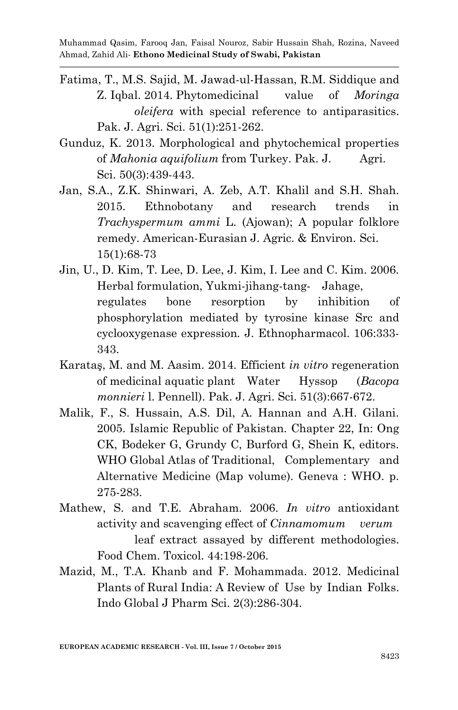- Fatima, T., M.S. Sajid, M. Jawad-ul-Hassan, R.M. Siddique and Z. Iqbal. 2014. Phytomedicinal value of *Moringa oleifera* with special reference to antiparasitics. Pak. J. Agri. Sci. 51(1):251-262.
- Gunduz, K. 2013. Morphological and phytochemical properties of *Mahonia aquifolium* from Turkey. Pak. J. Agri. Sci. 50(3):439-443.
- Jan, S.A., Z.K. Shinwari, A. Zeb, A.T. Khalil and S.H. Shah. 2015. Ethnobotany and research trends in *Trachyspermum ammi* L. (Ajowan); A popular folklore remedy. American-Eurasian J. Agric. & Environ. Sci. 15(1):68-73
- Jin, U., D. Kim, T. Lee, D. Lee, J. Kim, I. Lee and C. Kim. 2006. Herbal formulation, Yukmi-jihang-tang- Jahage, regulates bone resorption by inhibition of phosphorylation mediated by tyrosine kinase Src and cyclooxygenase expression*.* J. Ethnopharmacol. 106:333- 343.
- Karataş, M. and M. Aasim. 2014. Efficient *in vitro* regeneration of medicinal aquatic plant Water Hyssop (*Bacopa monnieri* l. Pennell). Pak. J. Agri. Sci. 51(3):667-672.
- Malik, F., S. Hussain, A.S. Dil, A. Hannan and A.H. Gilani. 2005. Islamic Republic of Pakistan. Chapter 22, In: Ong CK, Bodeker G, Grundy C, Burford G, Shein K, editors. WHO Global Atlas of Traditional, Complementary and Alternative Medicine (Map volume). Geneva : WHO. p. 275-283.
- Mathew, S. and T.E. Abraham. 2006. *In vitro* antioxidant activity and scavenging effect of *Cinnamomum verum*  leaf extract assayed by different methodologies. Food Chem. Toxicol. 44:198-206.
- Mazid, M., T.A. Khanb and F. Mohammada. 2012. Medicinal Plants of Rural India: A Review of Use by Indian Folks. Indo Global J Pharm Sci. 2(3):286-304.